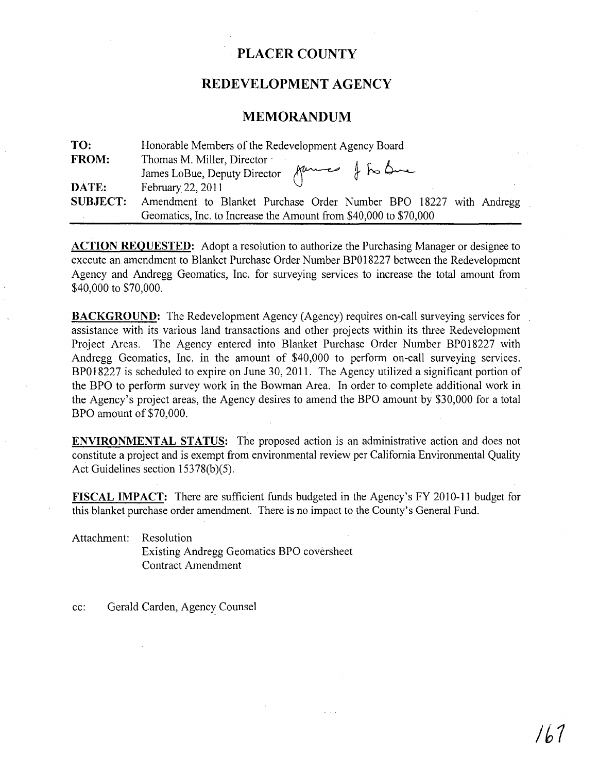# · **PLACER COUNTY**

## REDEVELOPMENT AGENCY

## **MEMORANDUM**

| TO:             | Honorable Members of the Redevelopment Agency Board               |  |  |
|-----------------|-------------------------------------------------------------------|--|--|
| <b>FROM:</b>    | Thomas M. Miller, Director                                        |  |  |
|                 | James LoBue, Deputy Director fume of to bue                       |  |  |
| DATE:           | February 22, 2011                                                 |  |  |
| <b>SUBJECT:</b> | Amendment to Blanket Purchase Order Number BPO 18227 with Andregg |  |  |
|                 | Geomatics, Inc. to Increase the Amount from \$40,000 to \$70,000  |  |  |

**ACTION REQUESTED:** Adopt a resolution to authorize the Purchasing Manager or designee to execute an amendment to Blanket Purchase Order Number BP018227 between the Redevelopment Agency and Andregg Geomatics, Inc. for surveying services to increase the total amount from \$40,000 to \$70,000.

**BACKGROUND:** The Redevelopment Agency (Agency) requires on-call surveying services for assistance with its various land transactions and other projects within its three Redevelopment Project Areas. The Agency entered into Blanket Purchase Order Number BP018227 with Andregg Geomatics, Inc. in the amount of \$40,000 to perform on-call surveying services. BP018227 is scheduled to expire on June 30, 2011. The Agency utilized a significant portion of the BPO to perform survey work in the Bowman Area. In order to complete additional work in the Agency's project areas, the Agency desires to amend the BPO amount by \$30,000 for a total BPO amount of \$70,000.

**ENVIRONMENTAL STATUS:** The proposed action is an administrative action and does not constitute a project and is exempt from environmental review per California Environmental Quality Act Guidelines section  $15378(b)(5)$ .

**FISCAL IMPACT:** There are sufficient funds budgeted in the Agency's FY 2010-11 budget for this blanket purchase order amendment. There is no impact to the County's General Fund.

Attachment: Resolution

Existing Andregg Geomatics BPO coversheet Contract Amendment

cc: Gerald Carden, Agency Counsel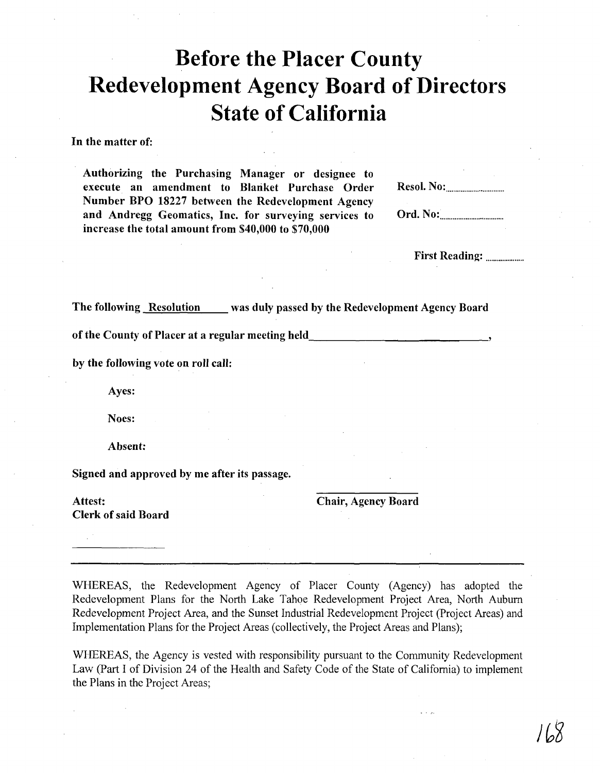# **Before the Placer County Redevelopment Agency Board of Directors State of California**

In the matter of:

Authorizing the Purchasing Manager or designee to execute an amendment to Blanket Purchase Order Number BPO 18227 between the Redevelopment Agency and Andregg Geomatics, Inc. for surveying services to increase the total amount from \$40,000 to \$70,000

Ord. No: ................................. ..

First Reading: .................... .

The following Resolution was duly passed by the Redevelopment Agency Board

of the County of Placer at a regular meeting held

by the following vote on roll call:

Ayes:

Noes:

Absent:

Signed and approved by me after its passage.

Attest: Chair, Agency Board Clerk of said Board

WHEREAS, the Redevelopment Agency of Placer County (Agency) has adopted the Redevelopment Plans for the North Lake Tahoe Redevelopment Project Area, North Auburn Redevelopment Project Area, and the Sunset Industrial Redevelopment Project (Project Areas) and Implementation Plans for the Project Areas (collectively, the Project Areas and Plans);

WHEREAS, the Agency is vested with responsibility pursuant to the Community Redevelopment Law (Part I of Division 24 of the Health and Safety Code of the State of California) to implement the Plans in the Project Areas;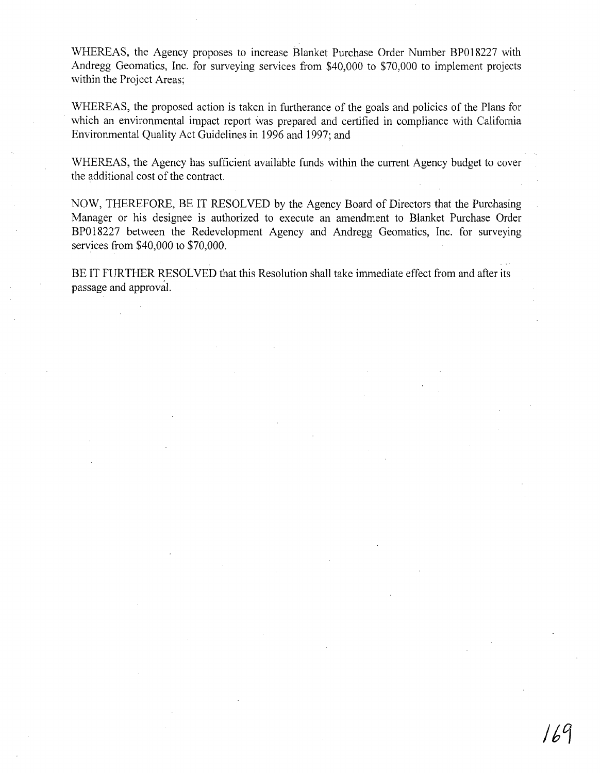WHEREAS, the Agency proposes to increase Blanket Purchase Order Number BP018227 with Andregg Geomatics, Inc. for surveying services from \$40,000 to \$70,000 to implement projects within the Project Areas;

WHEREAS, the proposed action is taken in furtherance of the goals and policies of the Plans for which an environmental impact report was prepared and certified in compliance with California Environmental Quality Act Guidelines in 1996 and 1997; and

WHEREAS, the Agency has sufficient available funds within the current Agency budget to cover the additional cost of the contract.

NOW, THEREFORE, BE IT RESOLVED by the Agency Board of Directors that the Purchasing Manager or his designee is authorized to execute an amendment to Blanket Purchase Order BP018227 between the Redevelopment Agency and Andregg Geomatics, Inc. for surveymg services from \$40,000 to \$70,000.

BE IT FURTHER RESOLVED that this Resolution shall take immediate effect from and after its passage and approval.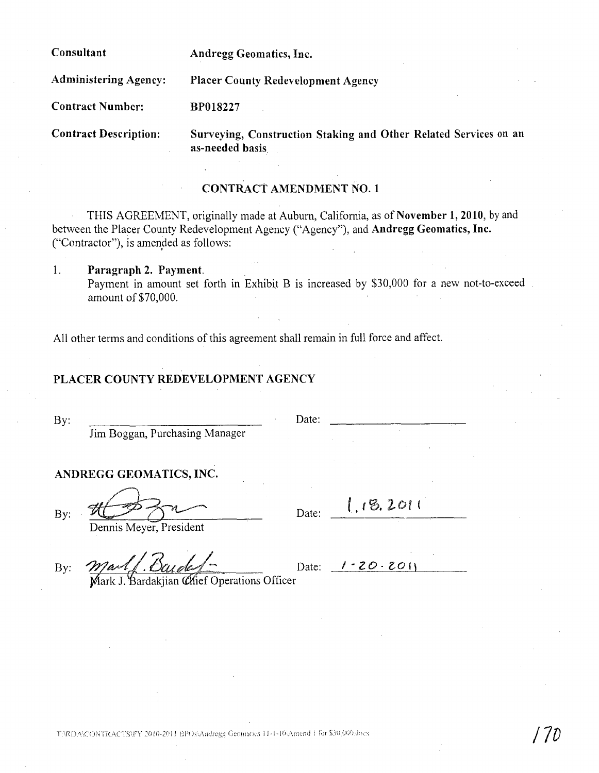Consultant

Andregg Geomatics, Inc.

Administering Agency: Placer County Redevelopment Agency

BP018227

Contract Number:

Contract Description:

Surveying, Construction Staking and Other Related Services on an as-needed basis

# CONTRACt AMENDMENT NO.1

THIS AGREEMENT, originally made at Auburn, California, as of November 1,2010, by and between the Placer County Redevelopment Agency ("Agency"), and Andregg Geomatics, Inc. ("Contractor"), is amended as follows:

1. Paragraph 2. Payment. Payment in amount set forth in Exhibit B is increased by \$30,000 for a new not-to-exceed amount of \$70,000.

All other terms and conditions of this agreement shall remain in full force and affect.

# PLACER COUNTY REDEVELOPMENT AGENCY

By: Date:

Jim Boggan, Purchasing Manager

## ANDREGG GEOMATICS, INC.

By:  $H \rightarrow R$  Date: 1.18.2011

Dennis Meyer, President

By:  $M$ art  $\Delta$  Daveled = Date:  $1.20.201$ 

Mark J. Bardakjian Chief Operations Officer